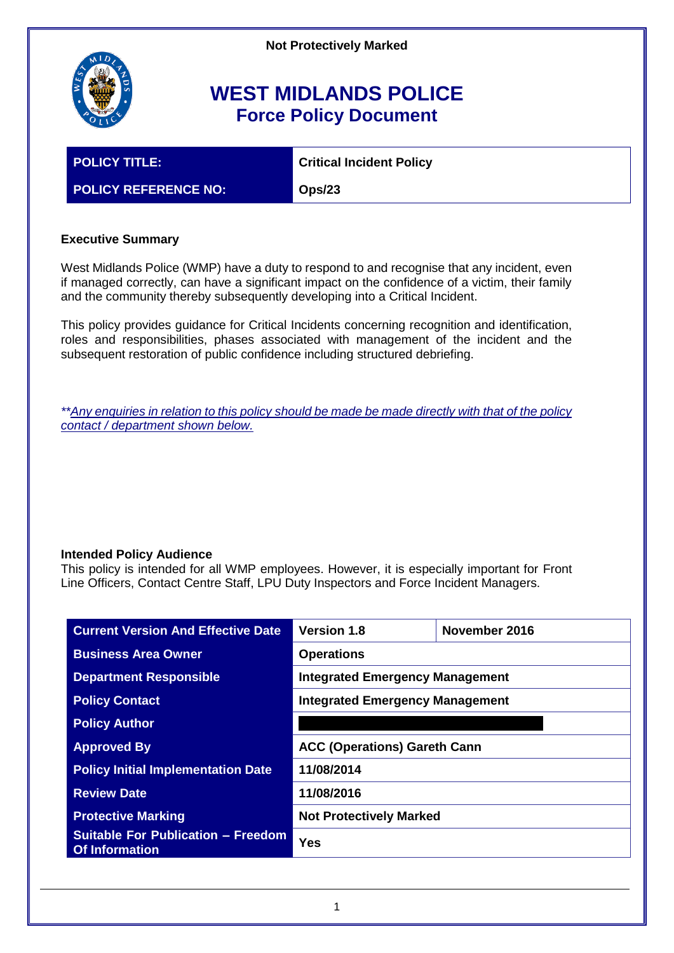

# **WEST MIDLANDS POLICE Force Policy Document**

**POLICY TITLE: Critical Incident Policy**

**POLICY REFERENCE NO: Ops/23**

# **Executive Summary**

West Midlands Police (WMP) have a duty to respond to and recognise that any incident, even if managed correctly, can have a significant impact on the confidence of a victim, their family and the community thereby subsequently developing into a Critical Incident.

This policy provides guidance for Critical Incidents concerning recognition and identification, roles and responsibilities, phases associated with management of the incident and the subsequent restoration of public confidence including structured debriefing.

*\*\*Any enquiries in relation to this policy should be made be made directly with that of the policy contact / department shown below.*

# **Intended Policy Audience**

This policy is intended for all WMP employees. However, it is especially important for Front Line Officers, Contact Centre Staff, LPU Duty Inspectors and Force Incident Managers.

| <b>Current Version And Effective Date</b>                          | <b>Version 1.8</b>                     | November 2016 |  |
|--------------------------------------------------------------------|----------------------------------------|---------------|--|
| <b>Business Area Owner</b>                                         | <b>Operations</b>                      |               |  |
| <b>Department Responsible</b>                                      | <b>Integrated Emergency Management</b> |               |  |
| <b>Policy Contact</b>                                              | <b>Integrated Emergency Management</b> |               |  |
| <b>Policy Author</b>                                               |                                        |               |  |
| <b>Approved By</b>                                                 | <b>ACC (Operations) Gareth Cann</b>    |               |  |
| <b>Policy Initial Implementation Date</b>                          | 11/08/2014                             |               |  |
| <b>Review Date</b>                                                 | 11/08/2016                             |               |  |
| <b>Protective Marking</b>                                          | <b>Not Protectively Marked</b>         |               |  |
| <b>Suitable For Publication - Freedom</b><br><b>Of Information</b> | <b>Yes</b>                             |               |  |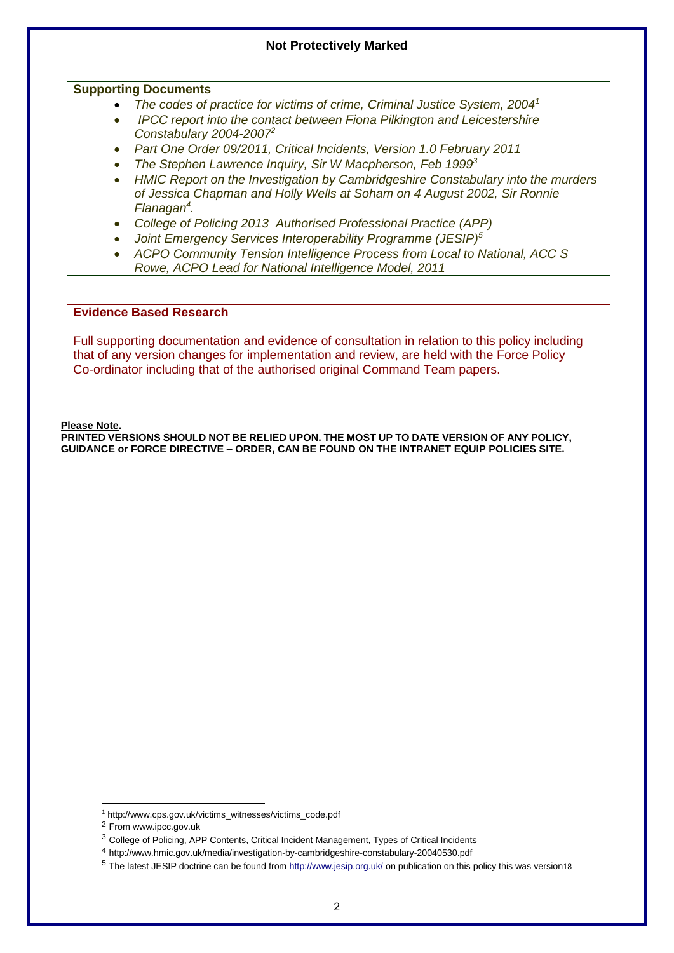#### **Supporting Documents**

- *The codes of practice for victims of crime, Criminal Justice System, 2004<sup>1</sup>*
- *IPCC report into the contact between Fiona Pilkington and Leicestershire Constabulary 2004-2007<sup>2</sup>*
- *Part One Order 09/2011, Critical Incidents, Version 1.0 February 2011*
- *The Stephen Lawrence Inquiry, Sir W Macpherson, Feb 1999<sup>3</sup>*
- *HMIC Report on the Investigation by Cambridgeshire Constabulary into the murders of Jessica Chapman and Holly Wells at Soham on 4 August 2002, Sir Ronnie Flanagan<sup>4</sup> .*
- *College of Policing 2013 Authorised Professional Practice (APP)*
- *Joint Emergency Services Interoperability Programme (JESIP)<sup>5</sup>*
- *ACPO Community Tension Intelligence Process from Local to National, ACC S Rowe, ACPO Lead for National Intelligence Model, 2011*

#### **Evidence Based Research**

Full supporting documentation and evidence of consultation in relation to this policy including that of any version changes for implementation and review, are held with the Force Policy Co-ordinator including that of the authorised original Command Team papers.

**Please Note.**

**PRINTED VERSIONS SHOULD NOT BE RELIED UPON. THE MOST UP TO DATE VERSION OF ANY POLICY, GUIDANCE or FORCE DIRECTIVE – ORDER, CAN BE FOUND ON THE INTRANET EQUIP POLICIES SITE.**

-

<sup>1</sup> http://www.cps.gov.uk/victims\_witnesses/victims\_code.pdf

<sup>2</sup> From www.ipcc.gov.uk

<sup>3</sup> College of Policing, APP Contents, Critical Incident Management, Types of Critical Incidents

<sup>4</sup> http://www.hmic.gov.uk/media/investigation-by-cambridgeshire-constabulary-20040530.pdf

<sup>5</sup> The latest JESIP doctrine can be found fro[m http://www.jesip.org.uk/](http://www.jesip.org.uk/) on publication on this policy this was version18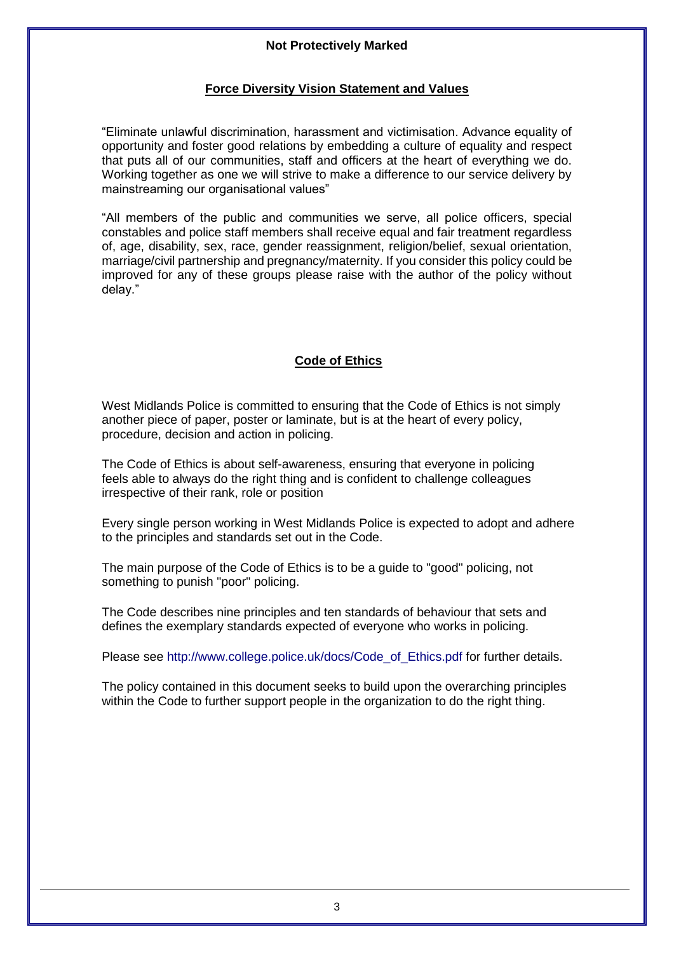# **Force Diversity Vision Statement and Values**

"Eliminate unlawful discrimination, harassment and victimisation. Advance equality of opportunity and foster good relations by embedding a culture of equality and respect that puts all of our communities, staff and officers at the heart of everything we do. Working together as one we will strive to make a difference to our service delivery by mainstreaming our organisational values"

"All members of the public and communities we serve, all police officers, special constables and police staff members shall receive equal and fair treatment regardless of, age, disability, sex, race, gender reassignment, religion/belief, sexual orientation, marriage/civil partnership and pregnancy/maternity. If you consider this policy could be improved for any of these groups please raise with the author of the policy without delay."

# **Code of Ethics**

West Midlands Police is committed to ensuring that the Code of Ethics is not simply another piece of paper, poster or laminate, but is at the heart of every policy, procedure, decision and action in policing.

The Code of Ethics is about self-awareness, ensuring that everyone in policing feels able to always do the right thing and is confident to challenge colleagues irrespective of their rank, role or position

Every single person working in West Midlands Police is expected to adopt and adhere to the principles and standards set out in the Code.

The main purpose of the Code of Ethics is to be a guide to "good" policing, not something to punish "poor" policing.

The Code describes nine principles and ten standards of behaviour that sets and defines the exemplary standards expected of everyone who works in policing.

Please see [http://www.college.police.uk/docs/Code\\_of\\_Ethics.pdf](http://www.college.police.uk/docs/Code_of_Ethics.pdf) for further details.

The policy contained in this document seeks to build upon the overarching principles within the Code to further support people in the organization to do the right thing.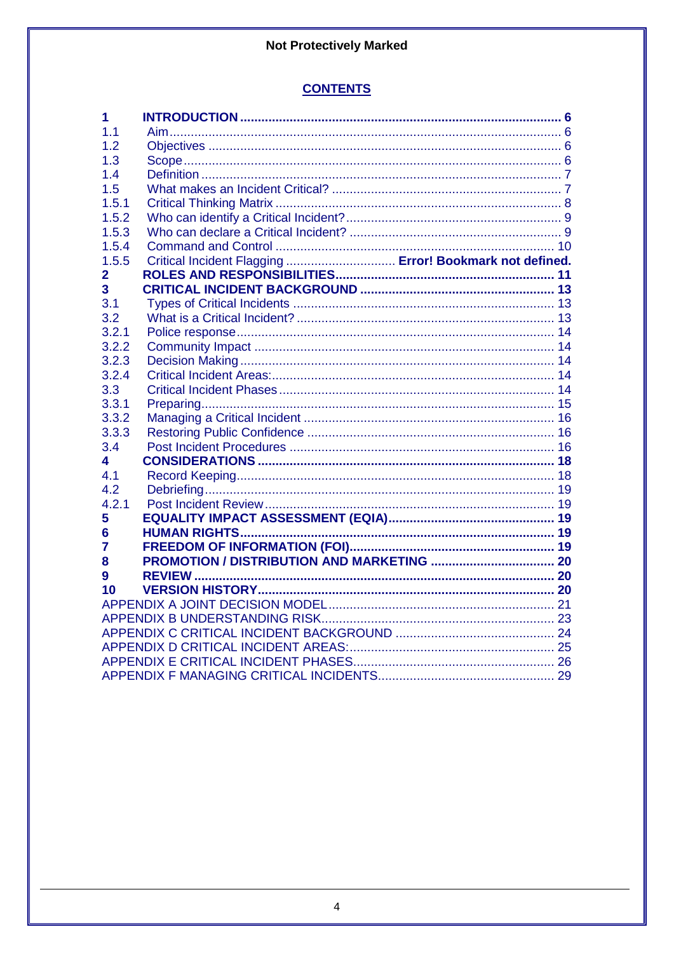# **CONTENTS**

| 1     |                                                          |  |  |
|-------|----------------------------------------------------------|--|--|
| 1.1   |                                                          |  |  |
| 1.2   |                                                          |  |  |
| 1.3   |                                                          |  |  |
| 1.4   |                                                          |  |  |
| 1.5   |                                                          |  |  |
| 1.5.1 |                                                          |  |  |
| 1.5.2 |                                                          |  |  |
| 1.5.3 |                                                          |  |  |
| 1.5.4 |                                                          |  |  |
| 1.5.5 | Critical Incident Flagging  Error! Bookmark not defined. |  |  |
| 2     |                                                          |  |  |
| 3     |                                                          |  |  |
| 3.1   |                                                          |  |  |
| 3.2   |                                                          |  |  |
| 3.2.1 |                                                          |  |  |
| 3.2.2 |                                                          |  |  |
| 3.2.3 |                                                          |  |  |
| 3.2.4 |                                                          |  |  |
| 3.3   |                                                          |  |  |
| 3.3.1 |                                                          |  |  |
| 3.3.2 |                                                          |  |  |
| 3.3.3 |                                                          |  |  |
| 3.4   |                                                          |  |  |
| 4     |                                                          |  |  |
| 4.1   |                                                          |  |  |
| 4.2   |                                                          |  |  |
| 4.2.1 |                                                          |  |  |
| 5     |                                                          |  |  |
| 6     |                                                          |  |  |
| 7     |                                                          |  |  |
| 8     |                                                          |  |  |
| 9     |                                                          |  |  |
| 10    |                                                          |  |  |
|       |                                                          |  |  |
|       |                                                          |  |  |
|       |                                                          |  |  |
|       |                                                          |  |  |
|       |                                                          |  |  |
|       |                                                          |  |  |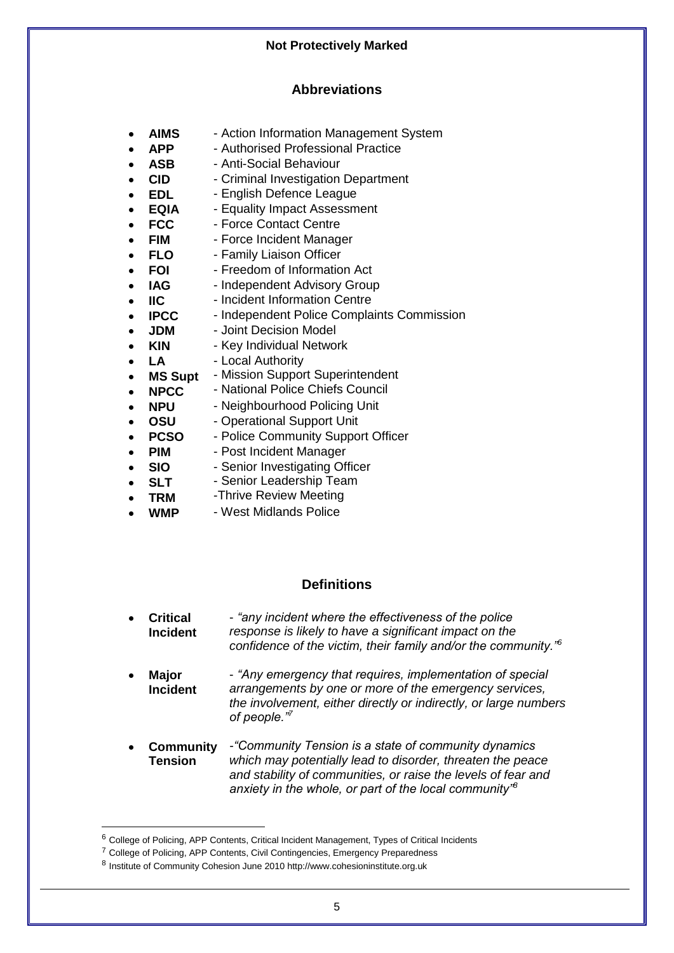# **Abbreviations**

- **AIMS** Action Information Management System
- **APP** Authorised Professional Practice
- **ASB** Anti-Social Behaviour
- **CID** Criminal Investigation Department
- **EDL** English Defence League
- **EQIA** Equality Impact Assessment
- **FCC** Force Contact Centre
- **FIM** Force Incident Manager
- **FLO** Family Liaison Officer
- **FOI** Freedom of Information Act
- **IAG** Independent Advisory Group
- **IIC** Incident Information Centre
- **IPCC** Independent Police Complaints Commission
- **JDM** Joint Decision Model
- **KIN** Key Individual Network
- **LA** - Local Authority
- **MS Supt** - Mission Support Superintendent
- **NPCC** - National Police Chiefs Council
- **NPU** Neighbourhood Policing Unit
- **OSU** Operational Support Unit
- **PCSO** Police Community Support Officer
- **PIM** Post Incident Manager
- **SIO** - Senior Investigating Officer
- **SLT** - Senior Leadership Team
- **TRM** -Thrive Review Meeting
- **WMP** West Midlands Police

# **Definitions**

- **Critical Incident** - *"any incident where the effectiveness of the police response is likely to have a significant impact on the confidence of the victim, their family and/or the community."<sup>6</sup>*
- **Major Incident** - *"Any emergency that requires, implementation of special arrangements by one or more of the emergency services, the involvement, either directly or indirectly, or large numbers of people."<sup>7</sup>*
- **Community Tension** *-"Community Tension is a state of community dynamics which may potentially lead to disorder, threaten the peace and stability of communities, or raise the levels of fear and anxiety in the whole, or part of the local community"<sup>8</sup>*

-

<sup>6</sup> College of Policing, APP Contents, Critical Incident Management, Types of Critical Incidents

<sup>7</sup> College of Policing, APP Contents, Civil Contingencies, Emergency Preparedness

<sup>&</sup>lt;sup>8</sup> Institute of Community Cohesion June 2010 http://www.cohesioninstitute.org.uk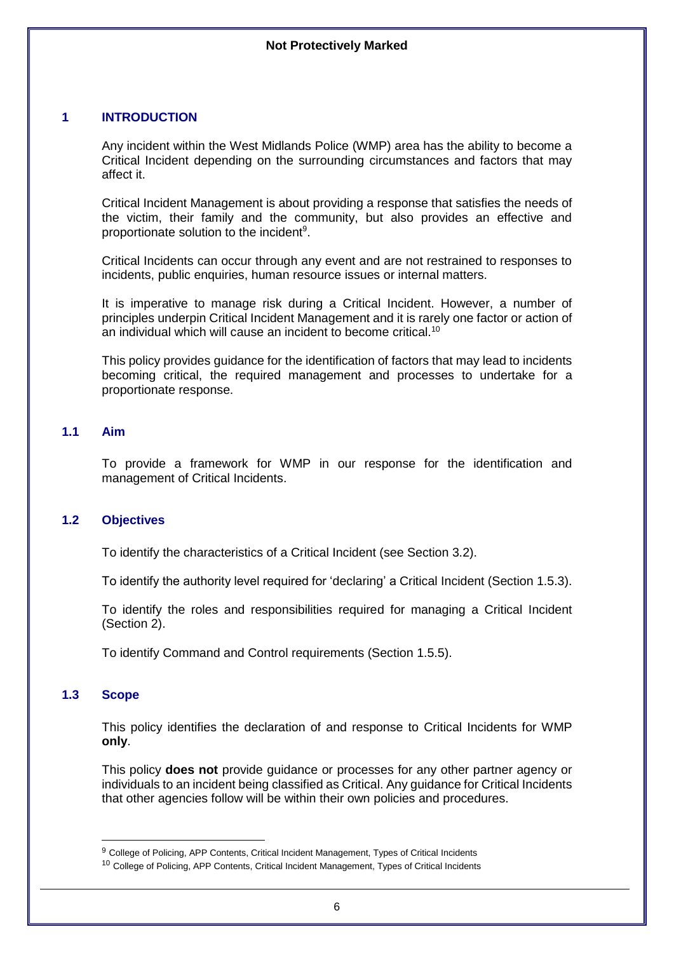# <span id="page-5-0"></span>**1 INTRODUCTION**

Any incident within the West Midlands Police (WMP) area has the ability to become a Critical Incident depending on the surrounding circumstances and factors that may affect it.

Critical Incident Management is about providing a response that satisfies the needs of the victim, their family and the community, but also provides an effective and proportionate solution to the incident<sup>9</sup>.

Critical Incidents can occur through any event and are not restrained to responses to incidents, public enquiries, human resource issues or internal matters.

It is imperative to manage risk during a Critical Incident. However, a number of principles underpin Critical Incident Management and it is rarely one factor or action of an individual which will cause an incident to become critical.<sup>10</sup>

This policy provides guidance for the identification of factors that may lead to incidents becoming critical, the required management and processes to undertake for a proportionate response.

# <span id="page-5-1"></span>**1.1 Aim**

To provide a framework for WMP in our response for the identification and management of Critical Incidents.

# <span id="page-5-2"></span>**1.2 Objectives**

To identify the characteristics of a Critical Incident (see Section 3.2).

To identify the authority level required for 'declaring' a Critical Incident (Section 1.5.3).

To identify the roles and responsibilities required for managing a Critical Incident (Section 2).

<span id="page-5-3"></span>To identify Command and Control requirements (Section 1.5.5).

# **1.3 Scope**

-

This policy identifies the declaration of and response to Critical Incidents for WMP **only**.

This policy **does not** provide guidance or processes for any other partner agency or individuals to an incident being classified as Critical. Any guidance for Critical Incidents that other agencies follow will be within their own policies and procedures.

<sup>&</sup>lt;sup>9</sup> College of Policing, APP Contents, Critical Incident Management, Types of Critical Incidents

<sup>10</sup> College of Policing, APP Contents, Critical Incident Management, Types of Critical Incidents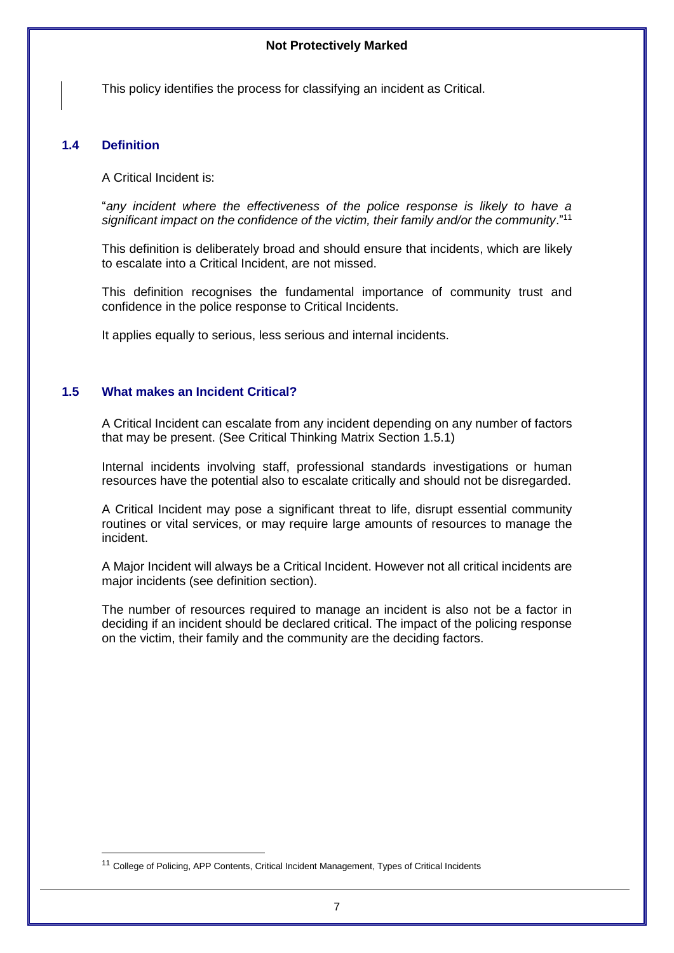This policy identifies the process for classifying an incident as Critical.

#### <span id="page-6-0"></span>**1.4 Definition**

 $\overline{a}$ 

A Critical Incident is:

"*any incident where the effectiveness of the police response is likely to have a*  significant impact on the confidence of the victim, their family and/or the community."<sup>11</sup>

This definition is deliberately broad and should ensure that incidents, which are likely to escalate into a Critical Incident, are not missed.

This definition recognises the fundamental importance of community trust and confidence in the police response to Critical Incidents.

It applies equally to serious, less serious and internal incidents.

# <span id="page-6-1"></span>**1.5 What makes an Incident Critical?**

A Critical Incident can escalate from any incident depending on any number of factors that may be present. (See Critical Thinking Matrix Section 1.5.1)

Internal incidents involving staff, professional standards investigations or human resources have the potential also to escalate critically and should not be disregarded.

A Critical Incident may pose a significant threat to life, disrupt essential community routines or vital services, or may require large amounts of resources to manage the incident.

A Major Incident will always be a Critical Incident. However not all critical incidents are major incidents (see definition section).

The number of resources required to manage an incident is also not be a factor in deciding if an incident should be declared critical. The impact of the policing response on the victim, their family and the community are the deciding factors.

<sup>11</sup> College of Policing, APP Contents, Critical Incident Management, Types of Critical Incidents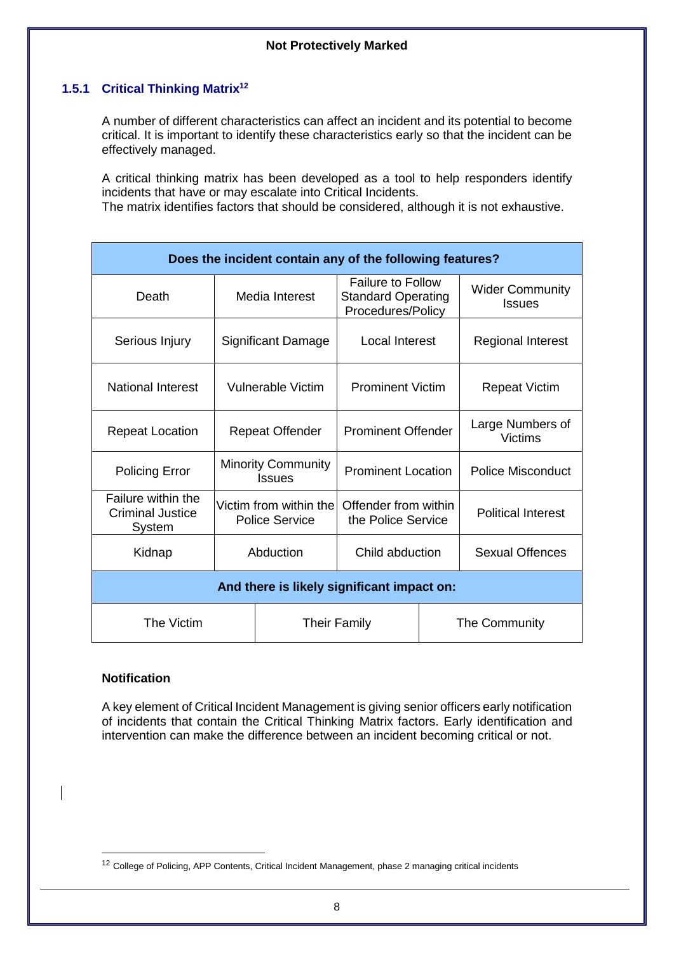# **1.5.1 Critical Thinking Matrix<sup>12</sup>**

<span id="page-7-0"></span>A number of different characteristics can affect an incident and its potential to become critical. It is important to identify these characteristics early so that the incident can be effectively managed.

A critical thinking matrix has been developed as a tool to help responders identify incidents that have or may escalate into Critical Incidents.

The matrix identifies factors that should be considered, although it is not exhaustive.

| Does the incident contain any of the following features? |                                                  |                                                                            |  |                                         |
|----------------------------------------------------------|--------------------------------------------------|----------------------------------------------------------------------------|--|-----------------------------------------|
| Death                                                    | Media Interest                                   | <b>Failure to Follow</b><br><b>Standard Operating</b><br>Procedures/Policy |  | <b>Wider Community</b><br><b>Issues</b> |
| Serious Injury                                           | Significant Damage                               | Local Interest                                                             |  | <b>Regional Interest</b>                |
| <b>National Interest</b>                                 | <b>Vulnerable Victim</b>                         | <b>Prominent Victim</b>                                                    |  | <b>Repeat Victim</b>                    |
| <b>Repeat Location</b>                                   | <b>Repeat Offender</b>                           | <b>Prominent Offender</b>                                                  |  | Large Numbers of<br>Victims             |
| <b>Policing Error</b>                                    | <b>Minority Community</b><br><b>Issues</b>       | <b>Prominent Location</b>                                                  |  | <b>Police Misconduct</b>                |
| Failure within the<br><b>Criminal Justice</b><br>System  | Victim from within thel<br><b>Police Service</b> | Offender from within<br>the Police Service                                 |  | <b>Political Interest</b>               |
| Kidnap                                                   | Abduction                                        | Child abduction                                                            |  | Sexual Offences                         |
| And there is likely significant impact on:               |                                                  |                                                                            |  |                                         |
| The Victim<br><b>Their Family</b>                        |                                                  | The Community                                                              |  |                                         |

# **Notification**

 $\overline{a}$ 

A key element of Critical Incident Management is giving senior officers early notification of incidents that contain the Critical Thinking Matrix factors. Early identification and intervention can make the difference between an incident becoming critical or not.

<sup>&</sup>lt;sup>12</sup> College of Policing, APP Contents, Critical Incident Management, phase 2 managing critical incidents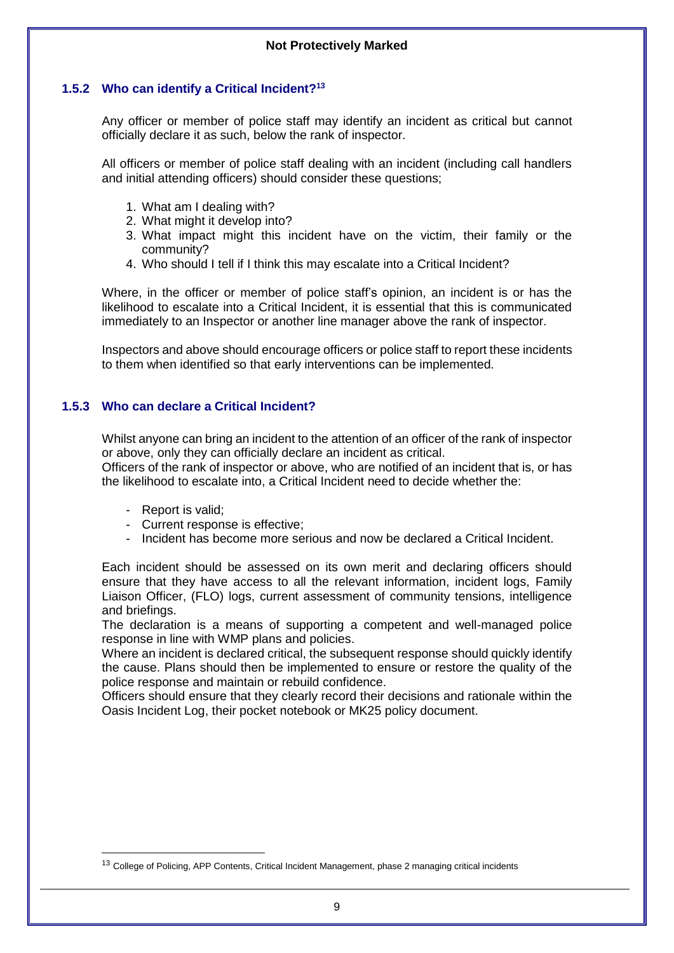# **1.5.2 Who can identify a Critical Incident?<sup>13</sup>**

<span id="page-8-0"></span>Any officer or member of police staff may identify an incident as critical but cannot officially declare it as such, below the rank of inspector.

All officers or member of police staff dealing with an incident (including call handlers and initial attending officers) should consider these questions;

- 1. What am I dealing with?
- 2. What might it develop into?
- 3. What impact might this incident have on the victim, their family or the community?
- 4. Who should I tell if I think this may escalate into a Critical Incident?

Where, in the officer or member of police staff's opinion, an incident is or has the likelihood to escalate into a Critical Incident, it is essential that this is communicated immediately to an Inspector or another line manager above the rank of inspector.

Inspectors and above should encourage officers or police staff to report these incidents to them when identified so that early interventions can be implemented.

# <span id="page-8-1"></span>**1.5.3 Who can declare a Critical Incident?**

Whilst anyone can bring an incident to the attention of an officer of the rank of inspector or above, only they can officially declare an incident as critical.

Officers of the rank of inspector or above, who are notified of an incident that is, or has the likelihood to escalate into, a Critical Incident need to decide whether the:

- Report is valid;

 $\overline{a}$ 

- Current response is effective;
- Incident has become more serious and now be declared a Critical Incident.

Each incident should be assessed on its own merit and declaring officers should ensure that they have access to all the relevant information, incident logs, Family Liaison Officer, (FLO) logs, current assessment of community tensions, intelligence and briefings.

The declaration is a means of supporting a competent and well-managed police response in line with WMP plans and policies.

Where an incident is declared critical, the subsequent response should quickly identify the cause. Plans should then be implemented to ensure or restore the quality of the police response and maintain or rebuild confidence.

Officers should ensure that they clearly record their decisions and rationale within the Oasis Incident Log, their pocket notebook or MK25 policy document.

<sup>&</sup>lt;sup>13</sup> College of Policing, APP Contents, Critical Incident Management, phase 2 managing critical incidents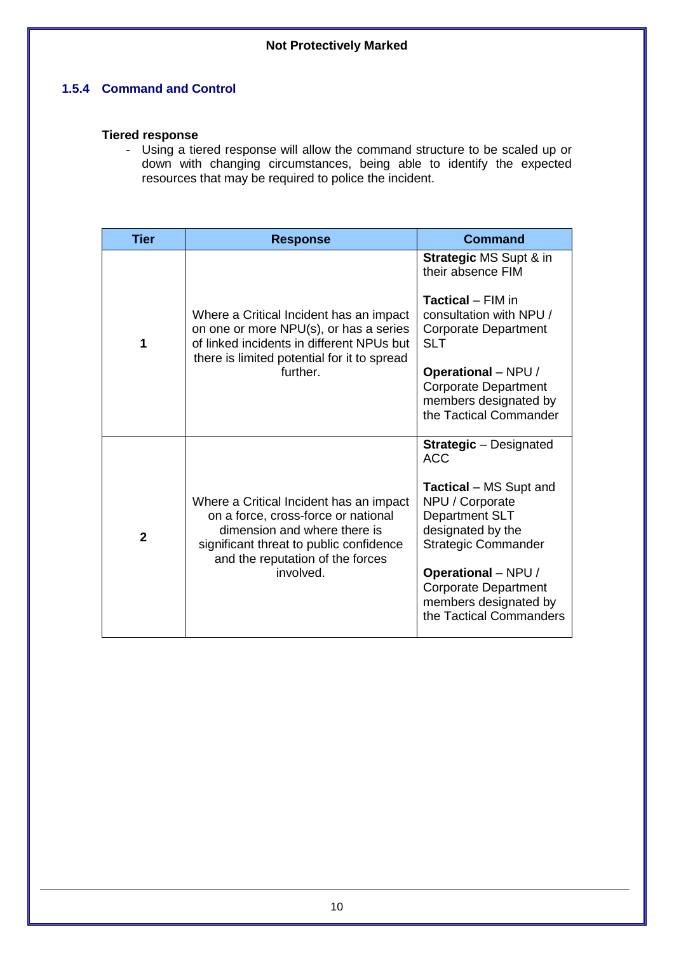# <span id="page-9-0"></span>**1.5.4 Command and Control**

# **Tiered response**

- Using a tiered response will allow the command structure to be scaled up or down with changing circumstances, being able to identify the expected resources that may be required to police the incident.

| <b>Tier</b>  | <b>Response</b>                                                                                                                                                                                            | Command                                                                                                               |
|--------------|------------------------------------------------------------------------------------------------------------------------------------------------------------------------------------------------------------|-----------------------------------------------------------------------------------------------------------------------|
| 1            |                                                                                                                                                                                                            | <b>Strategic MS Supt &amp; in</b><br>their absence FIM                                                                |
|              | Where a Critical Incident has an impact<br>on one or more NPU(s), or has a series<br>of linked incidents in different NPUs but<br>there is limited potential for it to spread                              | Tactical - FIM in<br>consultation with NPU /<br><b>Corporate Department</b><br><b>SLT</b>                             |
|              | further.                                                                                                                                                                                                   | <b>Operational</b> – NPU /<br><b>Corporate Department</b><br>members designated by<br>the Tactical Commander          |
| $\mathbf{2}$ |                                                                                                                                                                                                            | <b>Strategic</b> - Designated<br><b>ACC</b>                                                                           |
|              | Where a Critical Incident has an impact<br>on a force, cross-force or national<br>dimension and where there is<br>significant threat to public confidence<br>and the reputation of the forces<br>involved. | <b>Tactical</b> – MS Supt and<br>NPU / Corporate<br>Department SLT<br>designated by the<br><b>Strategic Commander</b> |
|              |                                                                                                                                                                                                            | <b>Operational</b> – NPU /<br><b>Corporate Department</b><br>members designated by<br>the Tactical Commanders         |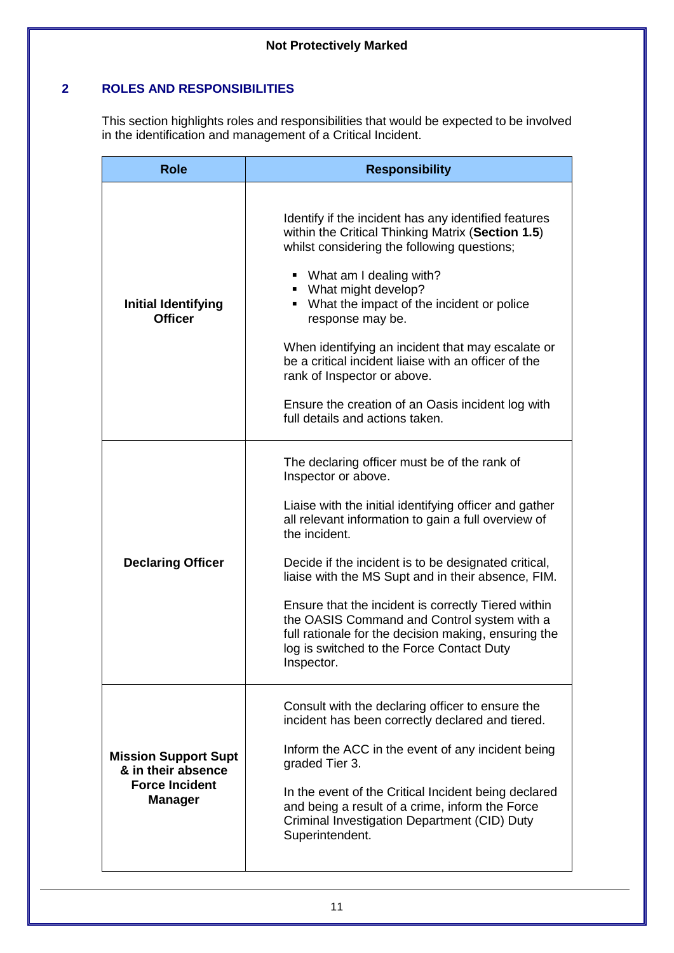# **2 ROLES AND RESPONSIBILITIES**

<span id="page-10-0"></span>This section highlights roles and responsibilities that would be expected to be involved in the identification and management of a Critical Incident.

| <b>Role</b>                                                                                  | <b>Responsibility</b>                                                                                                                                                                                                                                                                                                                                                                                                                                                                                                                        |  |  |
|----------------------------------------------------------------------------------------------|----------------------------------------------------------------------------------------------------------------------------------------------------------------------------------------------------------------------------------------------------------------------------------------------------------------------------------------------------------------------------------------------------------------------------------------------------------------------------------------------------------------------------------------------|--|--|
| <b>Initial Identifying</b><br><b>Officer</b>                                                 | Identify if the incident has any identified features<br>within the Critical Thinking Matrix (Section 1.5)<br>whilst considering the following questions;<br>• What am I dealing with?<br>• What might develop?<br>• What the impact of the incident or police<br>response may be.<br>When identifying an incident that may escalate or<br>be a critical incident liaise with an officer of the<br>rank of Inspector or above.<br>Ensure the creation of an Oasis incident log with<br>full details and actions taken.                        |  |  |
| <b>Declaring Officer</b>                                                                     | The declaring officer must be of the rank of<br>Inspector or above.<br>Liaise with the initial identifying officer and gather<br>all relevant information to gain a full overview of<br>the incident.<br>Decide if the incident is to be designated critical,<br>liaise with the MS Supt and in their absence, FIM.<br>Ensure that the incident is correctly Tiered within<br>the OASIS Command and Control system with a<br>full rationale for the decision making, ensuring the<br>log is switched to the Force Contact Duty<br>Inspector. |  |  |
| <b>Mission Support Supt</b><br>& in their absence<br><b>Force Incident</b><br><b>Manager</b> | Consult with the declaring officer to ensure the<br>incident has been correctly declared and tiered.<br>Inform the ACC in the event of any incident being<br>graded Tier 3.<br>In the event of the Critical Incident being declared<br>and being a result of a crime, inform the Force<br>Criminal Investigation Department (CID) Duty<br>Superintendent.                                                                                                                                                                                    |  |  |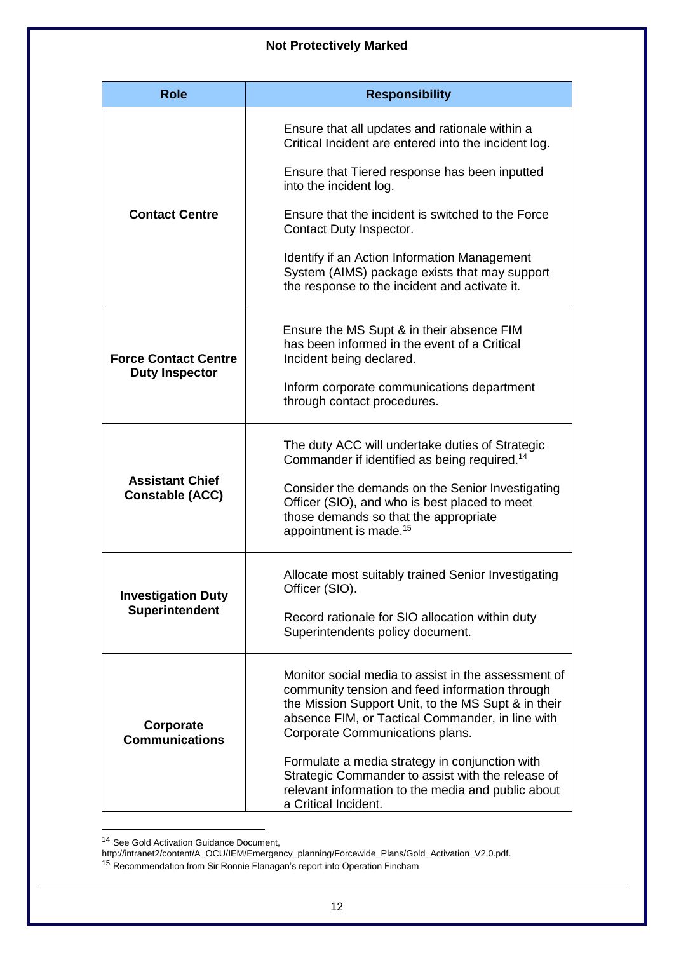| <b>Role</b>                                          | <b>Responsibility</b>                                                                                                                                                                                                                               |  |  |
|------------------------------------------------------|-----------------------------------------------------------------------------------------------------------------------------------------------------------------------------------------------------------------------------------------------------|--|--|
|                                                      | Ensure that all updates and rationale within a<br>Critical Incident are entered into the incident log.<br>Ensure that Tiered response has been inputted<br>into the incident log.                                                                   |  |  |
| <b>Contact Centre</b>                                | Ensure that the incident is switched to the Force<br>Contact Duty Inspector.                                                                                                                                                                        |  |  |
|                                                      | Identify if an Action Information Management<br>System (AIMS) package exists that may support<br>the response to the incident and activate it.                                                                                                      |  |  |
| <b>Force Contact Centre</b><br><b>Duty Inspector</b> | Ensure the MS Supt & in their absence FIM<br>has been informed in the event of a Critical<br>Incident being declared.                                                                                                                               |  |  |
|                                                      | Inform corporate communications department<br>through contact procedures.                                                                                                                                                                           |  |  |
| <b>Assistant Chief</b><br><b>Constable (ACC)</b>     | The duty ACC will undertake duties of Strategic<br>Commander if identified as being required. <sup>14</sup>                                                                                                                                         |  |  |
|                                                      | Consider the demands on the Senior Investigating<br>Officer (SIO), and who is best placed to meet<br>those demands so that the appropriate<br>appointment is made. <sup>15</sup>                                                                    |  |  |
| <b>Investigation Duty</b>                            | Allocate most suitably trained Senior Investigating<br>Officer (SIO).                                                                                                                                                                               |  |  |
| <b>Superintendent</b>                                | Record rationale for SIO allocation within duty<br>Superintendents policy document.                                                                                                                                                                 |  |  |
| Corporate<br><b>Communications</b>                   | Monitor social media to assist in the assessment of<br>community tension and feed information through<br>the Mission Support Unit, to the MS Supt & in their<br>absence FIM, or Tactical Commander, in line with<br>Corporate Communications plans. |  |  |
|                                                      | Formulate a media strategy in conjunction with<br>Strategic Commander to assist with the release of<br>relevant information to the media and public about<br>a Critical Incident.                                                                   |  |  |

<sup>&</sup>lt;sup>14</sup> See Gold Activation Guidance Document,

-

http://intranet2/content/A\_OCU/IEM/Emergency\_planning/Forcewide\_Plans/Gold\_Activation\_V2.0.pdf.

<sup>&</sup>lt;sup>15</sup> Recommendation from Sir Ronnie Flanagan's report into Operation Fincham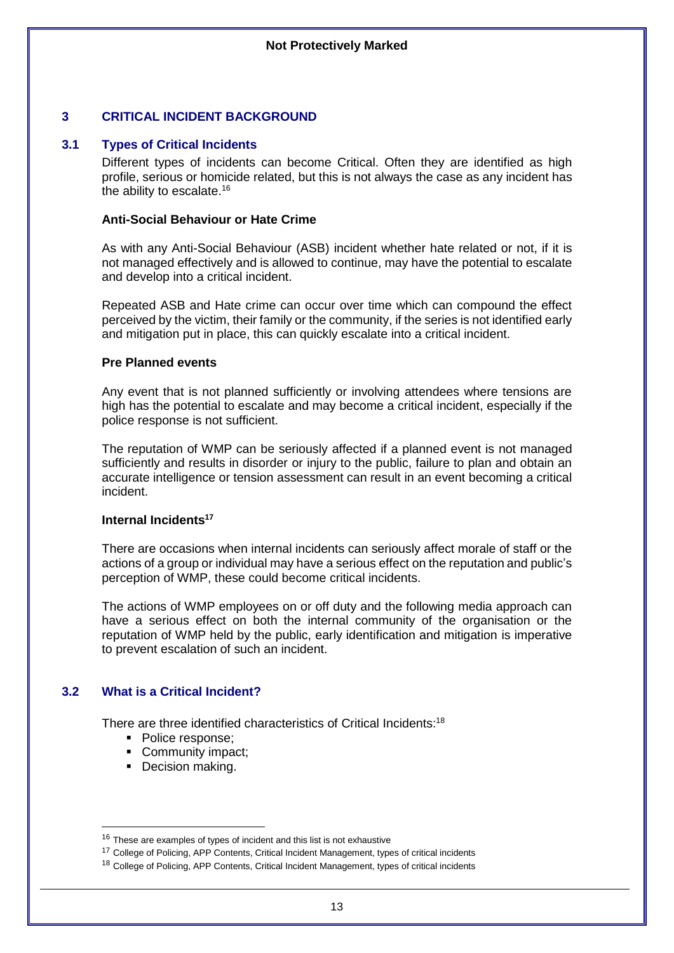# <span id="page-12-0"></span>**3 CRITICAL INCIDENT BACKGROUND**

#### **3.1 Types of Critical Incidents**

<span id="page-12-1"></span>Different types of incidents can become Critical. Often they are identified as high profile, serious or homicide related, but this is not always the case as any incident has the ability to escalate.<sup>16</sup>

#### **Anti-Social Behaviour or Hate Crime**

As with any Anti-Social Behaviour (ASB) incident whether hate related or not, if it is not managed effectively and is allowed to continue, may have the potential to escalate and develop into a critical incident.

Repeated ASB and Hate crime can occur over time which can compound the effect perceived by the victim, their family or the community, if the series is not identified early and mitigation put in place, this can quickly escalate into a critical incident.

#### **Pre Planned events**

Any event that is not planned sufficiently or involving attendees where tensions are high has the potential to escalate and may become a critical incident, especially if the police response is not sufficient.

The reputation of WMP can be seriously affected if a planned event is not managed sufficiently and results in disorder or injury to the public, failure to plan and obtain an accurate intelligence or tension assessment can result in an event becoming a critical incident.

#### **Internal Incidents<sup>17</sup>**

There are occasions when internal incidents can seriously affect morale of staff or the actions of a group or individual may have a serious effect on the reputation and public's perception of WMP, these could become critical incidents.

The actions of WMP employees on or off duty and the following media approach can have a serious effect on both the internal community of the organisation or the reputation of WMP held by the public, early identification and mitigation is imperative to prevent escalation of such an incident.

# <span id="page-12-2"></span>**3.2 What is a Critical Incident?**

-

There are three identified characteristics of Critical Incidents:<sup>18</sup>

- Police response;
- Community impact:
- <span id="page-12-3"></span>■ Decision making.

 $16$  These are examples of types of incident and this list is not exhaustive

<sup>&</sup>lt;sup>17</sup> College of Policing, APP Contents, Critical Incident Management, types of critical incidents

<sup>&</sup>lt;sup>18</sup> College of Policing, APP Contents, Critical Incident Management, types of critical incidents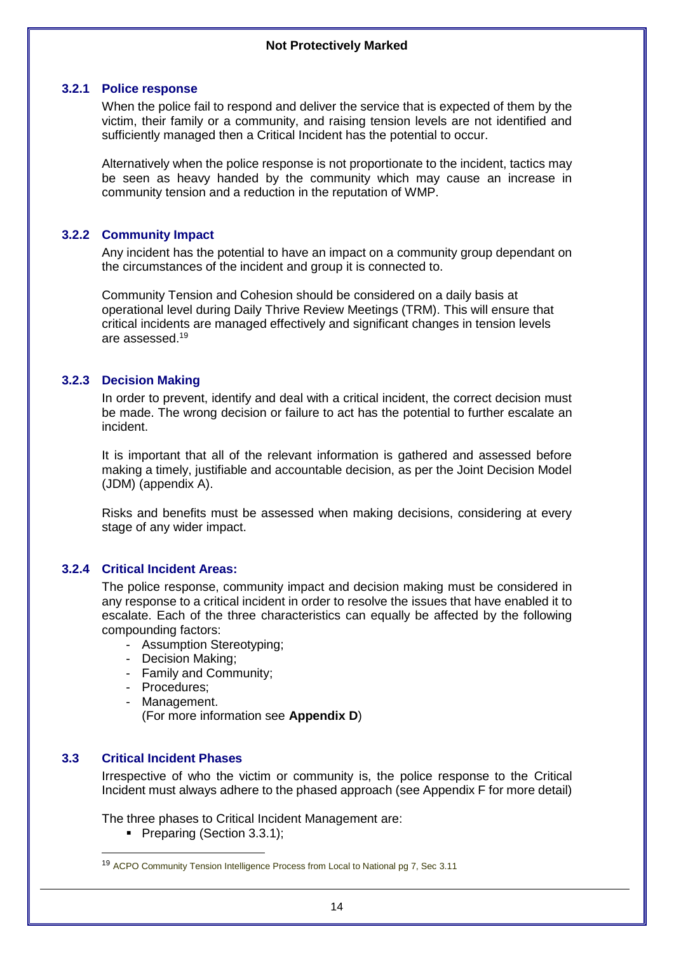# **3.2.1 Police response**

When the police fail to respond and deliver the service that is expected of them by the victim, their family or a community, and raising tension levels are not identified and sufficiently managed then a Critical Incident has the potential to occur.

Alternatively when the police response is not proportionate to the incident, tactics may be seen as heavy handed by the community which may cause an increase in community tension and a reduction in the reputation of WMP.

# **3.2.2 Community Impact**

<span id="page-13-0"></span>Any incident has the potential to have an impact on a community group dependant on the circumstances of the incident and group it is connected to.

Community Tension and Cohesion should be considered on a daily basis at operational level during Daily Thrive Review Meetings (TRM). This will ensure that critical incidents are managed effectively and significant changes in tension levels are assessed.<sup>19</sup>

# **3.2.3 Decision Making**

<span id="page-13-1"></span>In order to prevent, identify and deal with a critical incident, the correct decision must be made. The wrong decision or failure to act has the potential to further escalate an incident.

It is important that all of the relevant information is gathered and assessed before making a timely, justifiable and accountable decision, as per the Joint Decision Model (JDM) (appendix A).

Risks and benefits must be assessed when making decisions, considering at every stage of any wider impact.

# **3.2.4 Critical Incident Areas:**

<span id="page-13-2"></span>The police response, community impact and decision making must be considered in any response to a critical incident in order to resolve the issues that have enabled it to escalate. Each of the three characteristics can equally be affected by the following compounding factors:

- Assumption Stereotyping;
- Decision Making;
- Family and Community;
- Procedures;
- Management.

(For more information see **Appendix D**)

# **3.3 Critical Incident Phases**

 $\overline{a}$ 

<span id="page-13-3"></span>Irrespective of who the victim or community is, the police response to the Critical Incident must always adhere to the phased approach (see Appendix F for more detail)

The three phases to Critical Incident Management are:

• Preparing (Section 3.3.1);

<sup>19</sup> ACPO Community Tension Intelligence Process from Local to National pg 7, Sec 3.11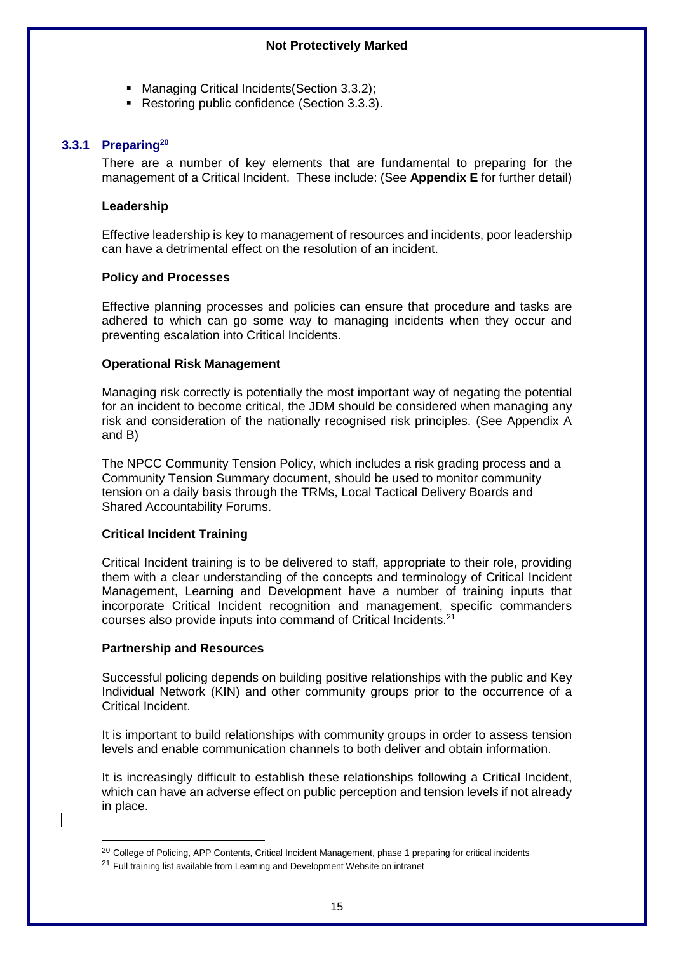- Managing Critical Incidents (Section 3.3.2);
- Restoring public confidence (Section 3.3.3).

# **3.3.1 Preparing<sup>20</sup>**

<span id="page-14-0"></span>There are a number of key elements that are fundamental to preparing for the management of a Critical Incident. These include: (See **Appendix E** for further detail)

# **Leadership**

Effective leadership is key to management of resources and incidents, poor leadership can have a detrimental effect on the resolution of an incident.

# **Policy and Processes**

Effective planning processes and policies can ensure that procedure and tasks are adhered to which can go some way to managing incidents when they occur and preventing escalation into Critical Incidents.

# **Operational Risk Management**

Managing risk correctly is potentially the most important way of negating the potential for an incident to become critical, the JDM should be considered when managing any risk and consideration of the nationally recognised risk principles. (See Appendix A and B)

The NPCC Community Tension Policy, which includes a risk grading process and a Community Tension Summary document, should be used to monitor community tension on a daily basis through the TRMs, Local Tactical Delivery Boards and Shared Accountability Forums.

# **Critical Incident Training**

Critical Incident training is to be delivered to staff, appropriate to their role, providing them with a clear understanding of the concepts and terminology of Critical Incident Management, Learning and Development have a number of training inputs that incorporate Critical Incident recognition and management, specific commanders courses also provide inputs into command of Critical Incidents.<sup>21</sup>

# **Partnership and Resources**

-

Successful policing depends on building positive relationships with the public and Key Individual Network (KIN) and other community groups prior to the occurrence of a Critical Incident.

It is important to build relationships with community groups in order to assess tension levels and enable communication channels to both deliver and obtain information.

It is increasingly difficult to establish these relationships following a Critical Incident, which can have an adverse effect on public perception and tension levels if not already in place.

<sup>&</sup>lt;sup>20</sup> College of Policing, APP Contents, Critical Incident Management, phase 1 preparing for critical incidents

 $21$  Full training list available from Learning and Development Website on intranet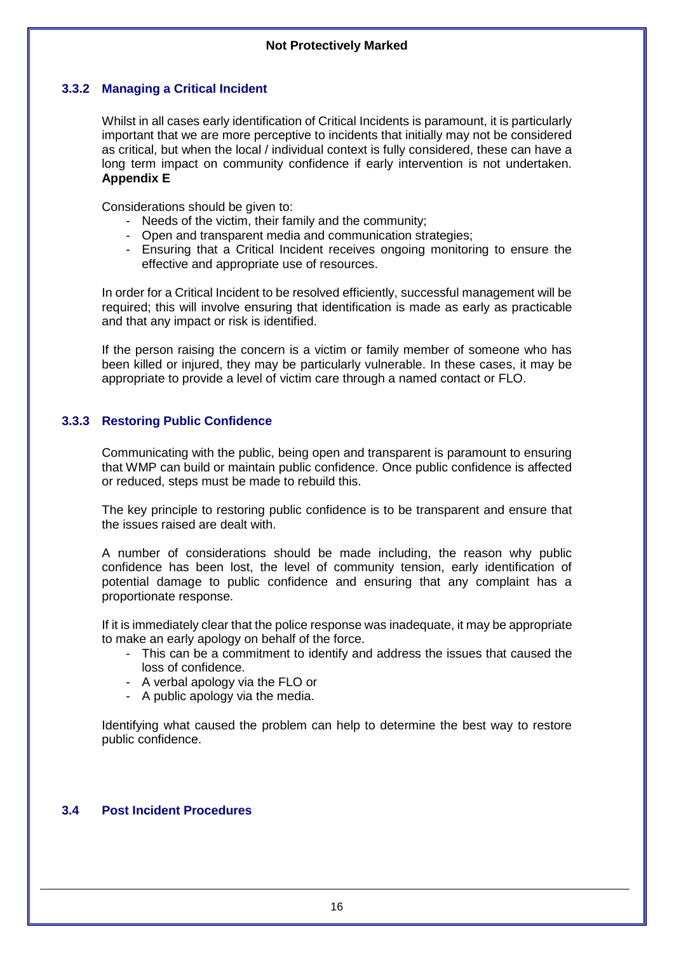# **3.3.2 Managing a Critical Incident**

<span id="page-15-0"></span>Whilst in all cases early identification of Critical Incidents is paramount, it is particularly important that we are more perceptive to incidents that initially may not be considered as critical, but when the local / individual context is fully considered, these can have a long term impact on community confidence if early intervention is not undertaken. **Appendix E**

Considerations should be given to:

- Needs of the victim, their family and the community;
- Open and transparent media and communication strategies;
- Ensuring that a Critical Incident receives ongoing monitoring to ensure the effective and appropriate use of resources.

In order for a Critical Incident to be resolved efficiently, successful management will be required; this will involve ensuring that identification is made as early as practicable and that any impact or risk is identified.

If the person raising the concern is a victim or family member of someone who has been killed or injured, they may be particularly vulnerable. In these cases, it may be appropriate to provide a level of victim care through a named contact or FLO.

# <span id="page-15-1"></span>**3.3.3 Restoring Public Confidence**

Communicating with the public, being open and transparent is paramount to ensuring that WMP can build or maintain public confidence. Once public confidence is affected or reduced, steps must be made to rebuild this.

The key principle to restoring public confidence is to be transparent and ensure that the issues raised are dealt with.

A number of considerations should be made including, the reason why public confidence has been lost, the level of community tension, early identification of potential damage to public confidence and ensuring that any complaint has a proportionate response.

If it is immediately clear that the police response was inadequate, it may be appropriate to make an early apology on behalf of the force.

- This can be a commitment to identify and address the issues that caused the loss of confidence.
- A verbal apology via the FLO or
- A public apology via the media.

Identifying what caused the problem can help to determine the best way to restore public confidence.

# <span id="page-15-2"></span>**3.4 Post Incident Procedures**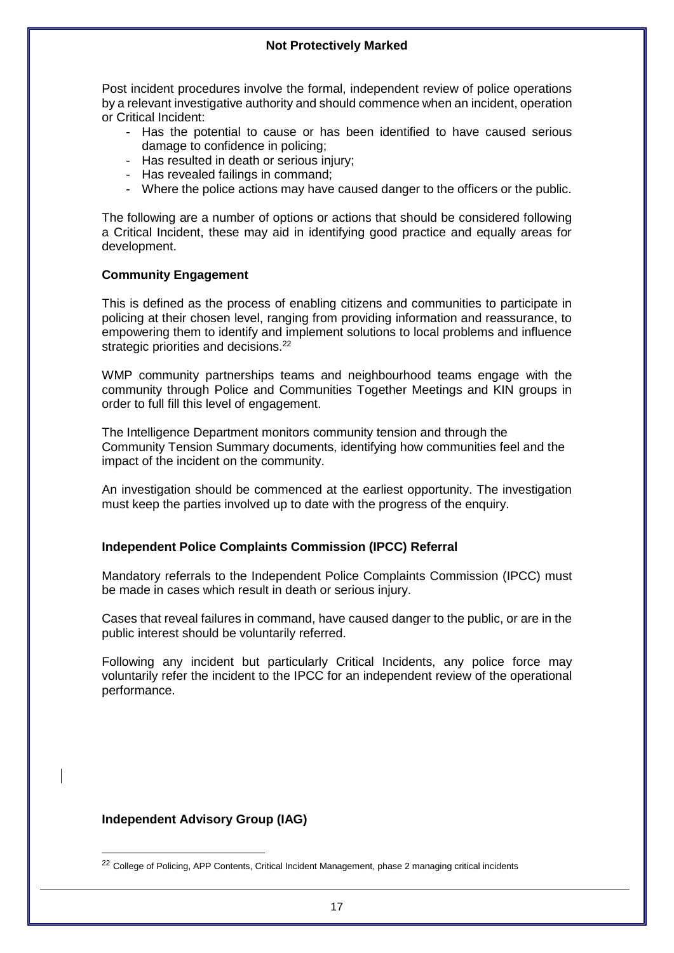Post incident procedures involve the formal, independent review of police operations by a relevant investigative authority and should commence when an incident, operation or Critical Incident:

- Has the potential to cause or has been identified to have caused serious damage to confidence in policing;
- Has resulted in death or serious injury;
- Has revealed failings in command;
- Where the police actions may have caused danger to the officers or the public.

The following are a number of options or actions that should be considered following a Critical Incident, these may aid in identifying good practice and equally areas for development.

#### **Community Engagement**

This is defined as the process of enabling citizens and communities to participate in policing at their chosen level, ranging from providing information and reassurance, to empowering them to identify and implement solutions to local problems and influence strategic priorities and decisions.<sup>22</sup>

WMP community partnerships teams and neighbourhood teams engage with the community through Police and Communities Together Meetings and KIN groups in order to full fill this level of engagement.

The Intelligence Department monitors community tension and through the Community Tension Summary documents, identifying how communities feel and the impact of the incident on the community.

An investigation should be commenced at the earliest opportunity. The investigation must keep the parties involved up to date with the progress of the enquiry.

# **Independent Police Complaints Commission (IPCC) Referral**

Mandatory referrals to the Independent Police Complaints Commission (IPCC) must be made in cases which result in death or serious injury.

Cases that reveal failures in command, have caused danger to the public, or are in the public interest should be voluntarily referred.

Following any incident but particularly Critical Incidents, any police force may voluntarily refer the incident to the IPCC for an independent review of the operational performance.

#### **Independent Advisory Group (IAG)**

<sup>&</sup>lt;sup>22</sup> College of Policing, APP Contents, Critical Incident Management, phase 2 managing critical incidents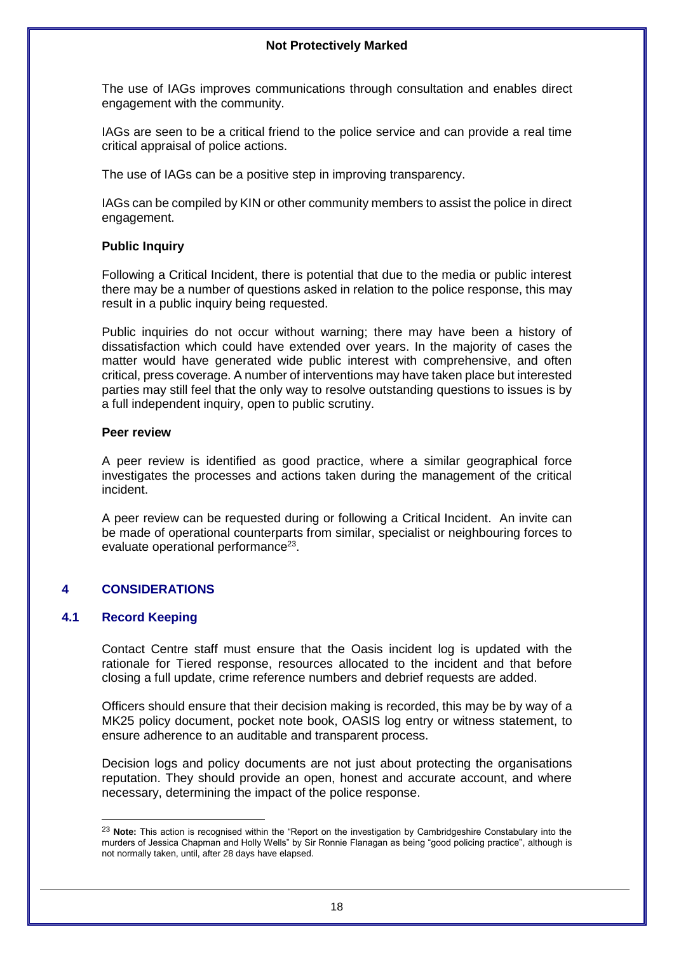The use of IAGs improves communications through consultation and enables direct engagement with the community.

IAGs are seen to be a critical friend to the police service and can provide a real time critical appraisal of police actions.

The use of IAGs can be a positive step in improving transparency.

IAGs can be compiled by KIN or other community members to assist the police in direct engagement.

# **Public Inquiry**

Following a Critical Incident, there is potential that due to the media or public interest there may be a number of questions asked in relation to the police response, this may result in a public inquiry being requested.

Public inquiries do not occur without warning; there may have been a history of dissatisfaction which could have extended over years. In the majority of cases the matter would have generated wide public interest with comprehensive, and often critical, press coverage. A number of interventions may have taken place but interested parties may still feel that the only way to resolve outstanding questions to issues is by a full independent inquiry, open to public scrutiny.

#### **Peer review**

A peer review is identified as good practice, where a similar geographical force investigates the processes and actions taken during the management of the critical incident.

A peer review can be requested during or following a Critical Incident. An invite can be made of operational counterparts from similar, specialist or neighbouring forces to evaluate operational performance<sup>23</sup>.

# <span id="page-17-0"></span>**4 CONSIDERATIONS**

# <span id="page-17-1"></span>**4.1 Record Keeping**

 $\overline{a}$ 

Contact Centre staff must ensure that the Oasis incident log is updated with the rationale for Tiered response, resources allocated to the incident and that before closing a full update, crime reference numbers and debrief requests are added.

Officers should ensure that their decision making is recorded, this may be by way of a MK25 policy document, pocket note book, OASIS log entry or witness statement, to ensure adherence to an auditable and transparent process.

Decision logs and policy documents are not just about protecting the organisations reputation. They should provide an open, honest and accurate account, and where necessary, determining the impact of the police response.

<sup>23</sup> **Note:** This action is recognised within the "Report on the investigation by Cambridgeshire Constabulary into the murders of Jessica Chapman and Holly Wells" by Sir Ronnie Flanagan as being "good policing practice", although is not normally taken, until, after 28 days have elapsed.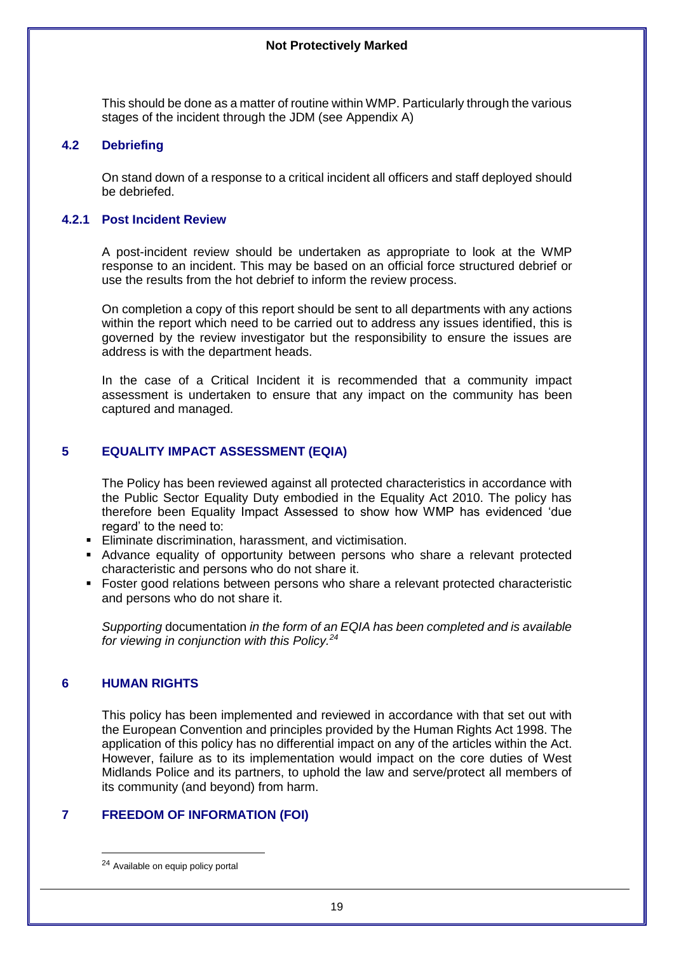<span id="page-18-0"></span>This should be done as a matter of routine within WMP. Particularly through the various stages of the incident through the JDM (see Appendix A)

# **4.2 Debriefing**

<span id="page-18-1"></span>On stand down of a response to a critical incident all officers and staff deployed should be debriefed.

# **4.2.1 Post Incident Review**

A post-incident review should be undertaken as appropriate to look at the WMP response to an incident. This may be based on an official force structured debrief or use the results from the hot debrief to inform the review process.

On completion a copy of this report should be sent to all departments with any actions within the report which need to be carried out to address any issues identified, this is governed by the review investigator but the responsibility to ensure the issues are address is with the department heads.

In the case of a Critical Incident it is recommended that a community impact assessment is undertaken to ensure that any impact on the community has been captured and managed.

# <span id="page-18-2"></span>**5 EQUALITY IMPACT ASSESSMENT (EQIA)**

The Policy has been reviewed against all protected characteristics in accordance with the Public Sector Equality Duty embodied in the Equality Act 2010. The policy has therefore been Equality Impact Assessed to show how WMP has evidenced 'due regard' to the need to:

- **Eliminate discrimination, harassment, and victimisation.**
- Advance equality of opportunity between persons who share a relevant protected characteristic and persons who do not share it.
- Foster good relations between persons who share a relevant protected characteristic and persons who do not share it.

<span id="page-18-3"></span>*Supporting* documentation *in the form of an EQIA has been completed and is available for viewing in conjunction with this Policy.<sup>24</sup>*

# **6 HUMAN RIGHTS**

<span id="page-18-4"></span> $\overline{a}$ 

This policy has been implemented and reviewed in accordance with that set out with the European Convention and principles provided by the Human Rights Act 1998. The application of this policy has no differential impact on any of the articles within the Act. However, failure as to its implementation would impact on the core duties of West Midlands Police and its partners, to uphold the law and serve/protect all members of its community (and beyond) from harm.

# **7 FREEDOM OF INFORMATION (FOI)**

<sup>24</sup> Available on equip policy portal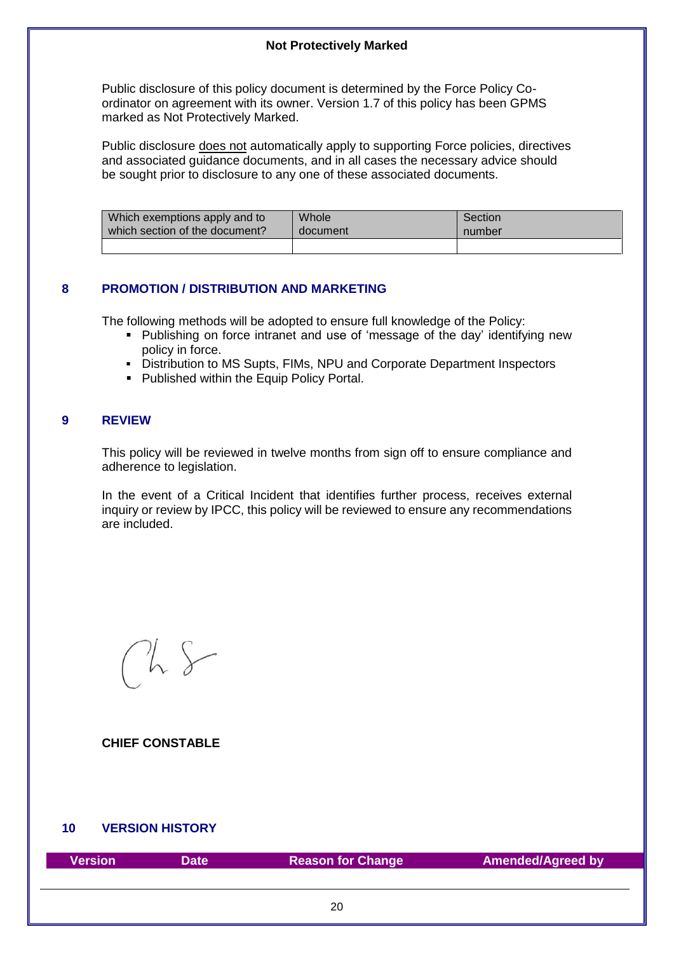<span id="page-19-0"></span>Public disclosure of this policy document is determined by the Force Policy Coordinator on agreement with its owner. Version 1.7 of this policy has been GPMS marked as Not Protectively Marked.

Public disclosure does not automatically apply to supporting Force policies, directives and associated guidance documents, and in all cases the necessary advice should be sought prior to disclosure to any one of these associated documents.

| Which exemptions apply and to  | <b>Whole</b> | Section |
|--------------------------------|--------------|---------|
| which section of the document? | document     | number  |
|                                |              |         |

# **8 PROMOTION / DISTRIBUTION AND MARKETING**

The following methods will be adopted to ensure full knowledge of the Policy:

- Publishing on force intranet and use of 'message of the day' identifying new policy in force.
- Distribution to MS Supts, FIMs, NPU and Corporate Department Inspectors
- <span id="page-19-1"></span>■ Published within the Equip Policy Portal.

# **9 REVIEW**

This policy will be reviewed in twelve months from sign off to ensure compliance and adherence to legislation.

In the event of a Critical Incident that identifies further process, receives external inquiry or review by IPCC, this policy will be reviewed to ensure any recommendations are included.

**CHIEF CONSTABLE**

# <span id="page-19-2"></span>**10 VERSION HISTORY**

| Version | Date | <b>Reason for Change</b> | <b>Amended/Agreed by</b> |
|---------|------|--------------------------|--------------------------|
|         |      |                          |                          |
|         |      | 20                       |                          |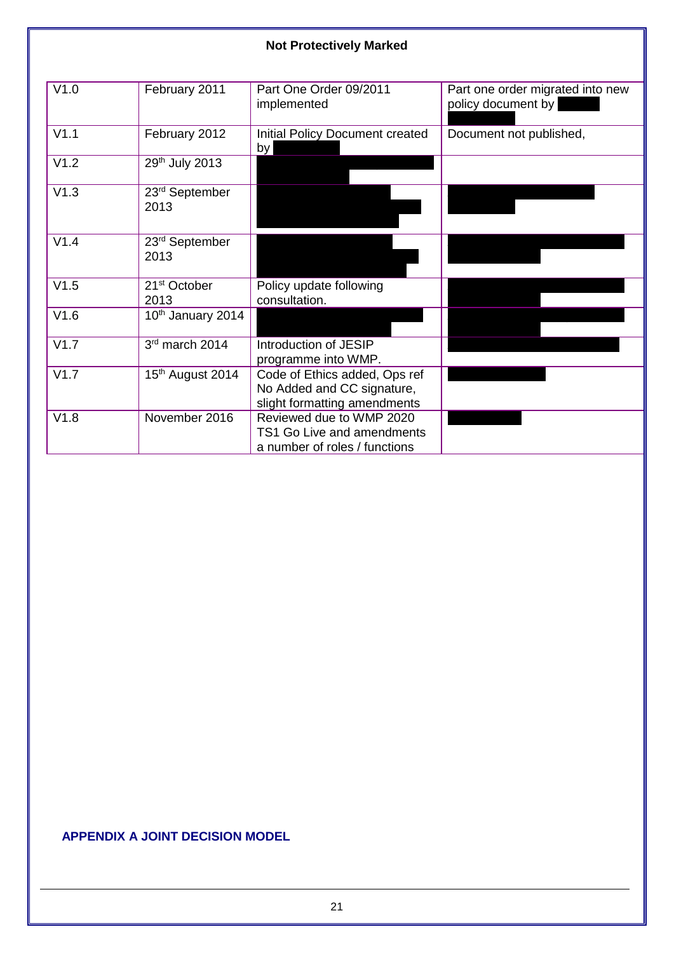| V1.0 | February 2011                      | Part One Order 09/2011<br>implemented                                                       | Part one order migrated into new<br>policy document by |
|------|------------------------------------|---------------------------------------------------------------------------------------------|--------------------------------------------------------|
| V1.1 | February 2012                      | <b>Initial Policy Document created</b><br>by                                                | Document not published,                                |
| V1.2 | 29th July 2013                     |                                                                                             |                                                        |
| V1.3 | 23 <sup>rd</sup> September<br>2013 |                                                                                             |                                                        |
| V1.4 | 23 <sup>rd</sup> September<br>2013 |                                                                                             |                                                        |
| V1.5 | 21 <sup>st</sup> October<br>2013   | Policy update following<br>consultation.                                                    |                                                        |
| V1.6 | 10th January 2014                  |                                                                                             |                                                        |
| V1.7 | 3rd march 2014                     | Introduction of JESIP<br>programme into WMP.                                                |                                                        |
| V1.7 | 15 <sup>th</sup> August 2014       | Code of Ethics added, Ops ref<br>No Added and CC signature,<br>slight formatting amendments |                                                        |
| V1.8 | November 2016                      | Reviewed due to WMP 2020<br>TS1 Go Live and amendments<br>a number of roles / functions     |                                                        |

# <span id="page-20-0"></span>**APPENDIX A JOINT DECISION MODEL**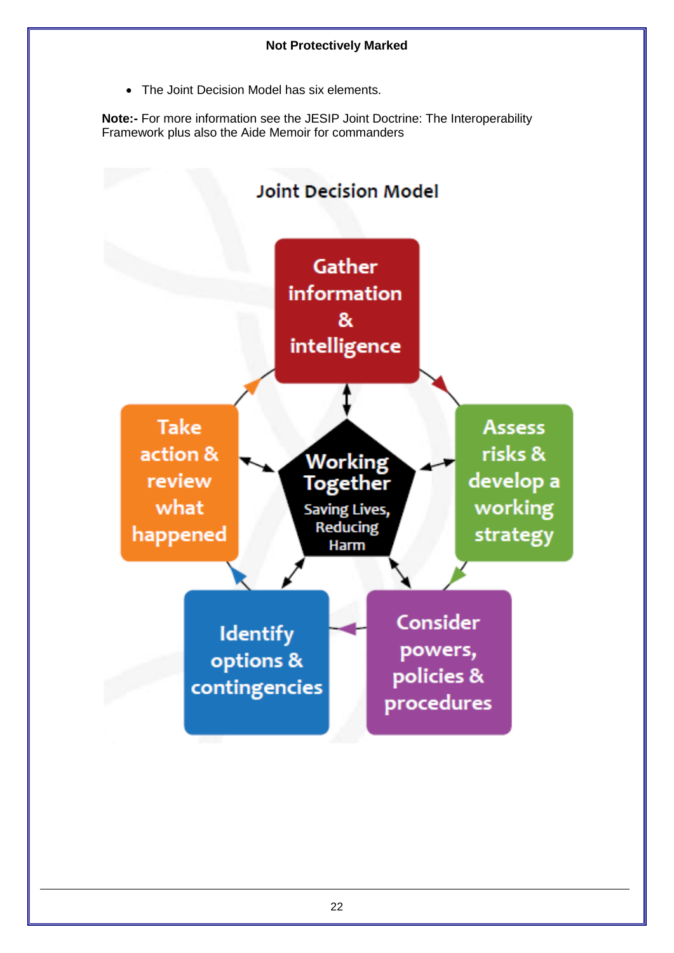The Joint Decision Model has six elements.

**Note:-** For more information see the JESIP Joint Doctrine: The Interoperability Framework plus also the Aide Memoir for commanders

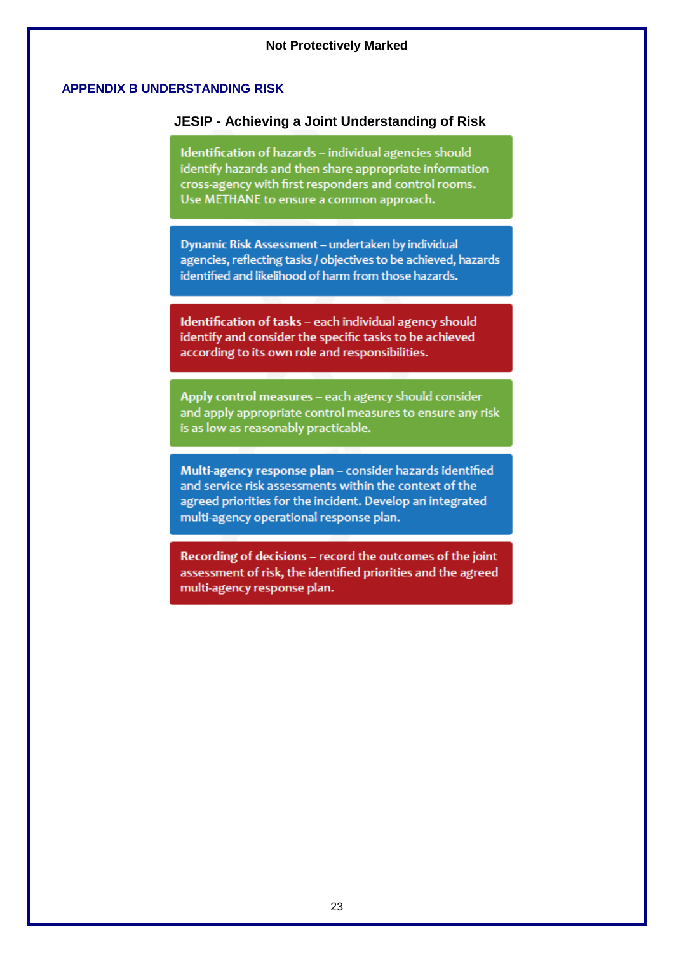# <span id="page-22-0"></span>**APPENDIX B UNDERSTANDING RISK**

# **JESIP - Achieving a Joint Understanding of Risk**

<span id="page-22-1"></span>Identification of hazards - individual agencies should identify hazards and then share appropriate information cross-agency with first responders and control rooms. Use METHANE to ensure a common approach.

Dynamic Risk Assessment - undertaken by individual agencies, reflecting tasks / objectives to be achieved, hazards identified and likelihood of harm from those hazards.

Identification of tasks - each individual agency should identify and consider the specific tasks to be achieved according to its own role and responsibilities.

Apply control measures - each agency should consider and apply appropriate control measures to ensure any risk is as low as reasonably practicable.

Multi-agency response plan - consider hazards identified and service risk assessments within the context of the agreed priorities for the incident. Develop an integrated multi-agency operational response plan.

Recording of decisions - record the outcomes of the joint assessment of risk, the identified priorities and the agreed multi-agency response plan.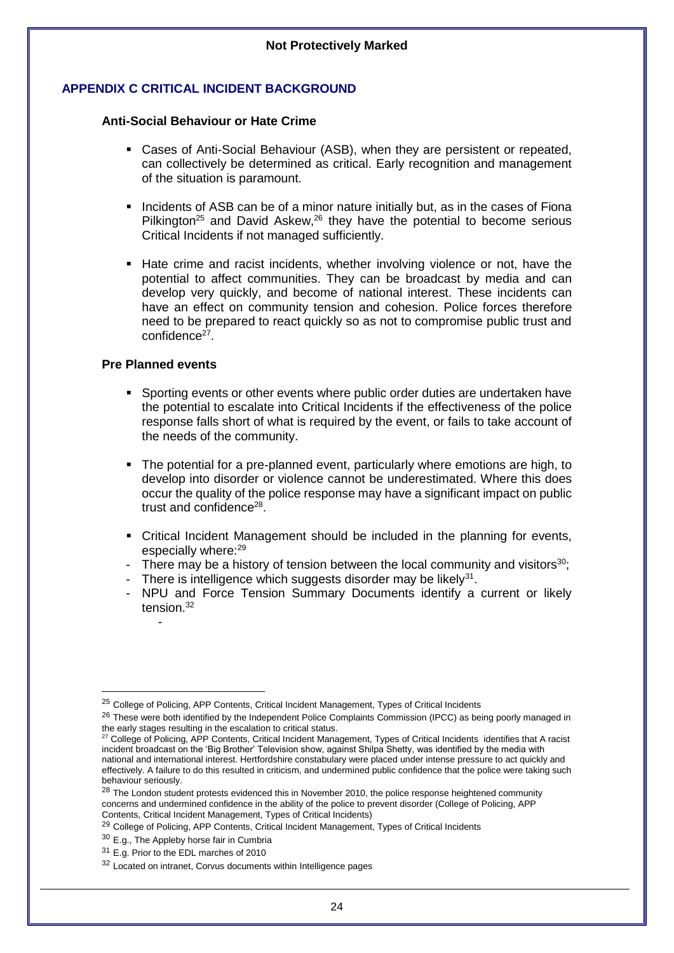# **APPENDIX C CRITICAL INCIDENT BACKGROUND**

#### **Anti-Social Behaviour or Hate Crime**

- Cases of Anti-Social Behaviour (ASB), when they are persistent or repeated, can collectively be determined as critical. Early recognition and management of the situation is paramount.
- Incidents of ASB can be of a minor nature initially but, as in the cases of Fiona Pilkington<sup>25</sup> and David Askew,<sup>26</sup> they have the potential to become serious Critical Incidents if not managed sufficiently.
- Hate crime and racist incidents, whether involving violence or not, have the potential to affect communities. They can be broadcast by media and can develop very quickly, and become of national interest. These incidents can have an effect on community tension and cohesion. Police forces therefore need to be prepared to react quickly so as not to compromise public trust and confidence<sup>27</sup>.

#### **Pre Planned events**

-

-

- Sporting events or other events where public order duties are undertaken have the potential to escalate into Critical Incidents if the effectiveness of the police response falls short of what is required by the event, or fails to take account of the needs of the community.
- The potential for a pre-planned event, particularly where emotions are high, to develop into disorder or violence cannot be underestimated. Where this does occur the quality of the police response may have a significant impact on public trust and confidence<sup>28</sup>.
- **Critical Incident Management should be included in the planning for events,** especially where:<sup>29</sup>
- There may be a history of tension between the local community and visitors<sup>30</sup>;
- There is intelligence which suggests disorder may be likely $31$ .
- NPU and Force Tension Summary Documents identify a current or likely tension $32$

<sup>&</sup>lt;sup>25</sup> College of Policing, APP Contents, Critical Incident Management, Types of Critical Incidents

<sup>&</sup>lt;sup>26</sup> These were both identified by the Independent Police Complaints Commission (IPCC) as being poorly managed in the early stages resulting in the escalation to critical status.

<sup>&</sup>lt;sup>27</sup> College of Policing, APP Contents, Critical Incident Management, Types of Critical Incidents identifies that A racist incident broadcast on the 'Big Brother' Television show, against Shilpa Shetty, was identified by the media with national and international interest. Hertfordshire constabulary were placed under intense pressure to act quickly and effectively. A failure to do this resulted in criticism, and undermined public confidence that the police were taking such behaviour seriously.

<sup>&</sup>lt;sup>28</sup> The London student protests evidenced this in November 2010, the police response heightened community concerns and undermined confidence in the ability of the police to prevent disorder (College of Policing, APP Contents, Critical Incident Management, Types of Critical Incidents)

<sup>&</sup>lt;sup>29</sup> College of Policing, APP Contents, Critical Incident Management, Types of Critical Incidents

<sup>30</sup> E.g., The Appleby horse fair in Cumbria

<sup>&</sup>lt;sup>31</sup> E.g. Prior to the EDL marches of 2010

<sup>32</sup> Located on intranet, Corvus documents within Intelligence pages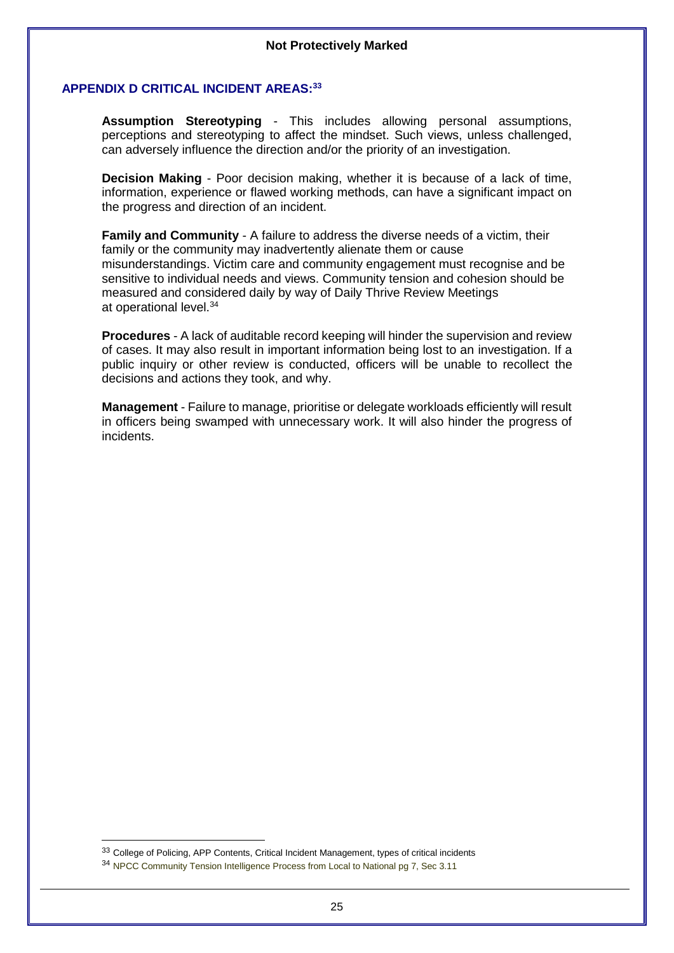#### <span id="page-24-0"></span>**APPENDIX D CRITICAL INCIDENT AREAS: 33**

**Assumption Stereotyping** - This includes allowing personal assumptions, perceptions and stereotyping to affect the mindset. Such views, unless challenged, can adversely influence the direction and/or the priority of an investigation.

**Decision Making** - Poor decision making, whether it is because of a lack of time, information, experience or flawed working methods, can have a significant impact on the progress and direction of an incident.

**Family and Community** - A failure to address the diverse needs of a victim, their family or the community may inadvertently alienate them or cause misunderstandings. Victim care and community engagement must recognise and be sensitive to individual needs and views. Community tension and cohesion should be measured and considered daily by way of Daily Thrive Review Meetings at operational level.<sup>34</sup>

**Procedures** - A lack of auditable record keeping will hinder the supervision and review of cases. It may also result in important information being lost to an investigation. If a public inquiry or other review is conducted, officers will be unable to recollect the decisions and actions they took, and why.

**Management** - Failure to manage, prioritise or delegate workloads efficiently will result in officers being swamped with unnecessary work. It will also hinder the progress of incidents.

-

<sup>33</sup> College of Policing, APP Contents, Critical Incident Management, types of critical incidents

<sup>34</sup> NPCC Community Tension Intelligence Process from Local to National pg 7, Sec 3.11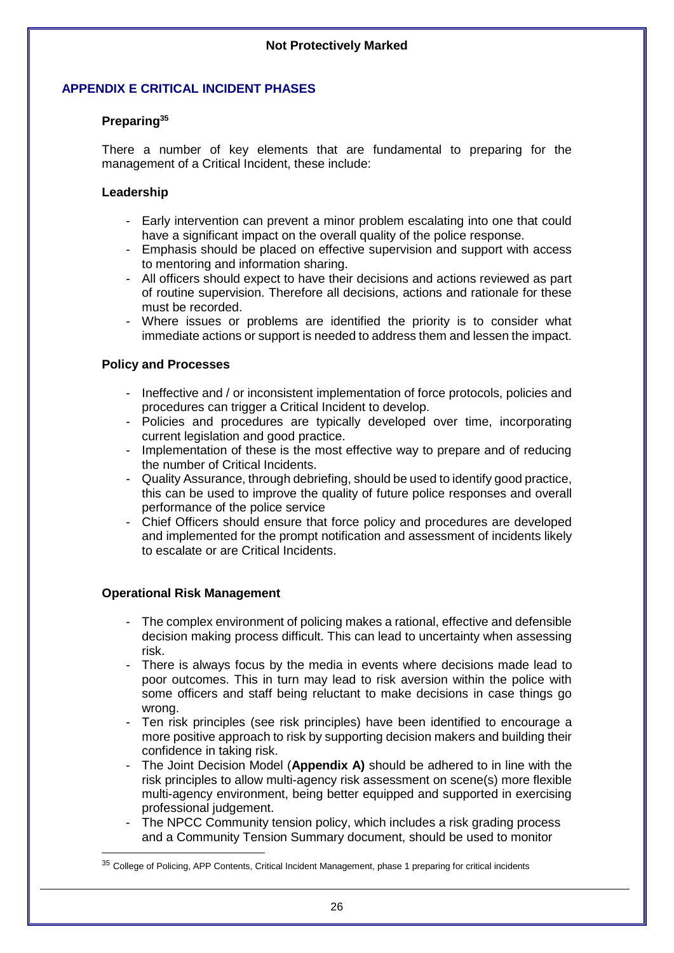# <span id="page-25-0"></span>**APPENDIX E CRITICAL INCIDENT PHASES**

# **Preparing<sup>35</sup>**

There a number of key elements that are fundamental to preparing for the management of a Critical Incident, these include:

# **Leadership**

- Early intervention can prevent a minor problem escalating into one that could have a significant impact on the overall quality of the police response.
- Emphasis should be placed on effective supervision and support with access to mentoring and information sharing.
- All officers should expect to have their decisions and actions reviewed as part of routine supervision. Therefore all decisions, actions and rationale for these must be recorded.
- Where issues or problems are identified the priority is to consider what immediate actions or support is needed to address them and lessen the impact.

# **Policy and Processes**

- Ineffective and / or inconsistent implementation of force protocols, policies and procedures can trigger a Critical Incident to develop.
- Policies and procedures are typically developed over time, incorporating current legislation and good practice.
- Implementation of these is the most effective way to prepare and of reducing the number of Critical Incidents.
- Quality Assurance, through debriefing, should be used to identify good practice, this can be used to improve the quality of future police responses and overall performance of the police service
- Chief Officers should ensure that force policy and procedures are developed and implemented for the prompt notification and assessment of incidents likely to escalate or are Critical Incidents.

# **Operational Risk Management**

- The complex environment of policing makes a rational, effective and defensible decision making process difficult. This can lead to uncertainty when assessing risk.
- There is always focus by the media in events where decisions made lead to poor outcomes. This in turn may lead to risk aversion within the police with some officers and staff being reluctant to make decisions in case things go wrong.
- Ten risk principles (see risk principles) have been identified to encourage a more positive approach to risk by supporting decision makers and building their confidence in taking risk.
- The Joint Decision Model (**Appendix A)** should be adhered to in line with the risk principles to allow multi-agency risk assessment on scene(s) more flexible multi-agency environment, being better equipped and supported in exercising professional judgement.
- The NPCC Community tension policy, which includes a risk grading process and a Community Tension Summary document, should be used to monitor

<sup>35</sup> College of Policing, APP Contents, Critical Incident Management, phase 1 preparing for critical incidents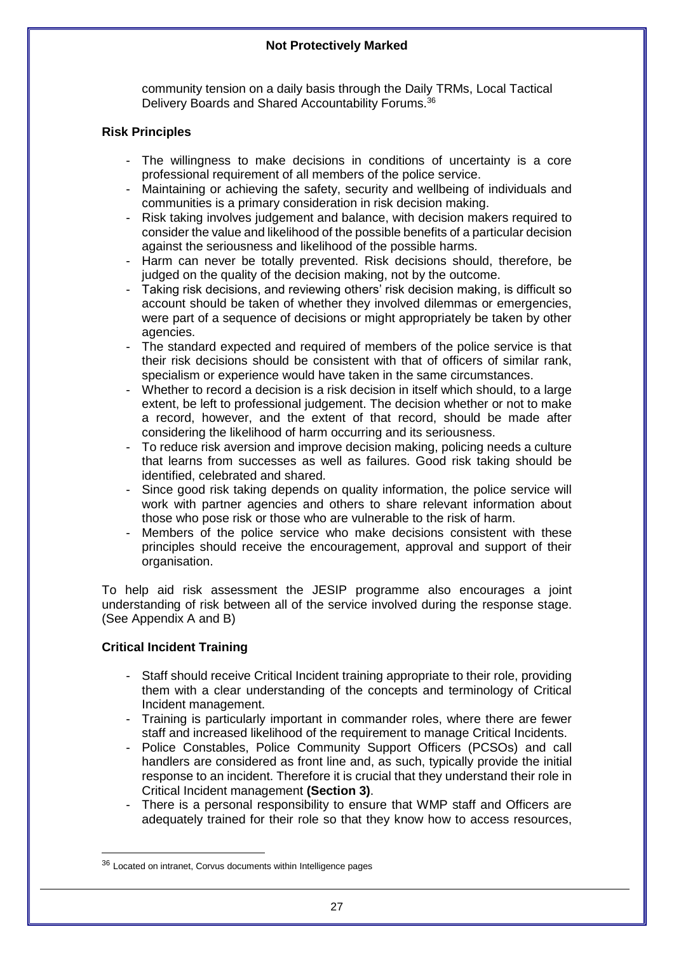community tension on a daily basis through the Daily TRMs, Local Tactical Delivery Boards and Shared Accountability Forums.<sup>36</sup>

# **Risk Principles**

- The willingness to make decisions in conditions of uncertainty is a core professional requirement of all members of the police service.
- Maintaining or achieving the safety, security and wellbeing of individuals and communities is a primary consideration in risk decision making.
- Risk taking involves judgement and balance, with decision makers required to consider the value and likelihood of the possible benefits of a particular decision against the seriousness and likelihood of the possible harms.
- Harm can never be totally prevented. Risk decisions should, therefore, be judged on the quality of the decision making, not by the outcome.
- Taking risk decisions, and reviewing others' risk decision making, is difficult so account should be taken of whether they involved dilemmas or emergencies, were part of a sequence of decisions or might appropriately be taken by other agencies.
- The standard expected and required of members of the police service is that their risk decisions should be consistent with that of officers of similar rank, specialism or experience would have taken in the same circumstances.
- Whether to record a decision is a risk decision in itself which should, to a large extent, be left to professional judgement. The decision whether or not to make a record, however, and the extent of that record, should be made after considering the likelihood of harm occurring and its seriousness.
- To reduce risk aversion and improve decision making, policing needs a culture that learns from successes as well as failures. Good risk taking should be identified, celebrated and shared.
- Since good risk taking depends on quality information, the police service will work with partner agencies and others to share relevant information about those who pose risk or those who are vulnerable to the risk of harm.
- Members of the police service who make decisions consistent with these principles should receive the encouragement, approval and support of their organisation.

To help aid risk assessment the JESIP programme also encourages a joint understanding of risk between all of the service involved during the response stage. (See Appendix A and B)

# **Critical Incident Training**

- Staff should receive Critical Incident training appropriate to their role, providing them with a clear understanding of the concepts and terminology of Critical Incident management.
- Training is particularly important in commander roles, where there are fewer staff and increased likelihood of the requirement to manage Critical Incidents.
- Police Constables, Police Community Support Officers (PCSOs) and call handlers are considered as front line and, as such, typically provide the initial response to an incident. Therefore it is crucial that they understand their role in Critical Incident management **(Section 3)**.
- There is a personal responsibility to ensure that WMP staff and Officers are adequately trained for their role so that they know how to access resources,

<sup>36</sup> Located on intranet, Corvus documents within Intelligence pages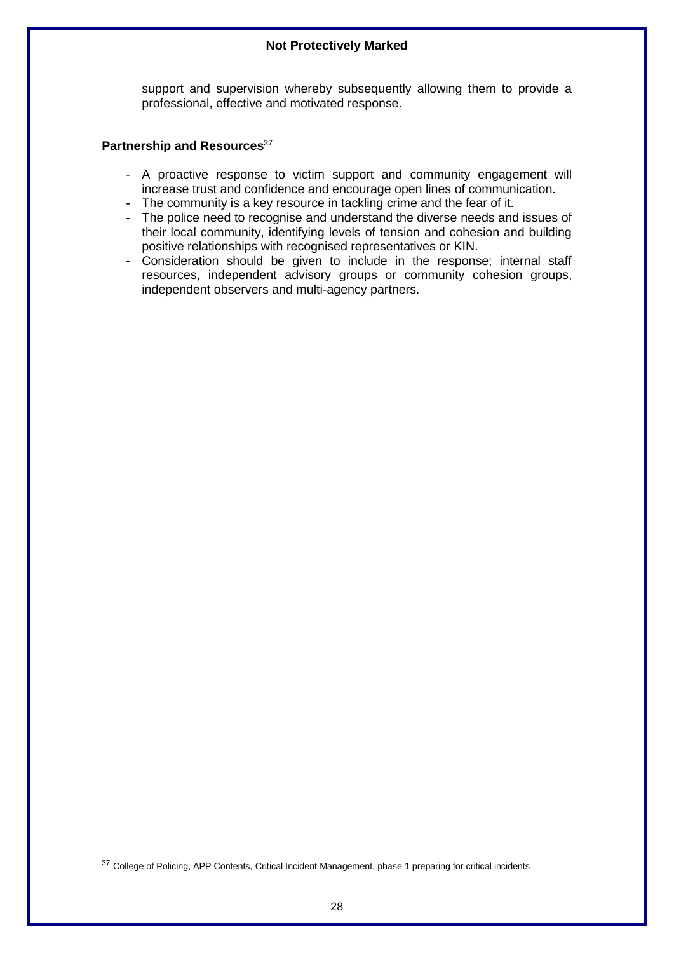support and supervision whereby subsequently allowing them to provide a professional, effective and motivated response.

#### **Partnership and Resources**<sup>37</sup>

- A proactive response to victim support and community engagement will increase trust and confidence and encourage open lines of communication.
- The community is a key resource in tackling crime and the fear of it.
- The police need to recognise and understand the diverse needs and issues of their local community, identifying levels of tension and cohesion and building positive relationships with recognised representatives or KIN.
- Consideration should be given to include in the response; internal staff resources, independent advisory groups or community cohesion groups, independent observers and multi-agency partners.

<sup>&</sup>lt;sup>37</sup> College of Policing, APP Contents, Critical Incident Management, phase 1 preparing for critical incidents